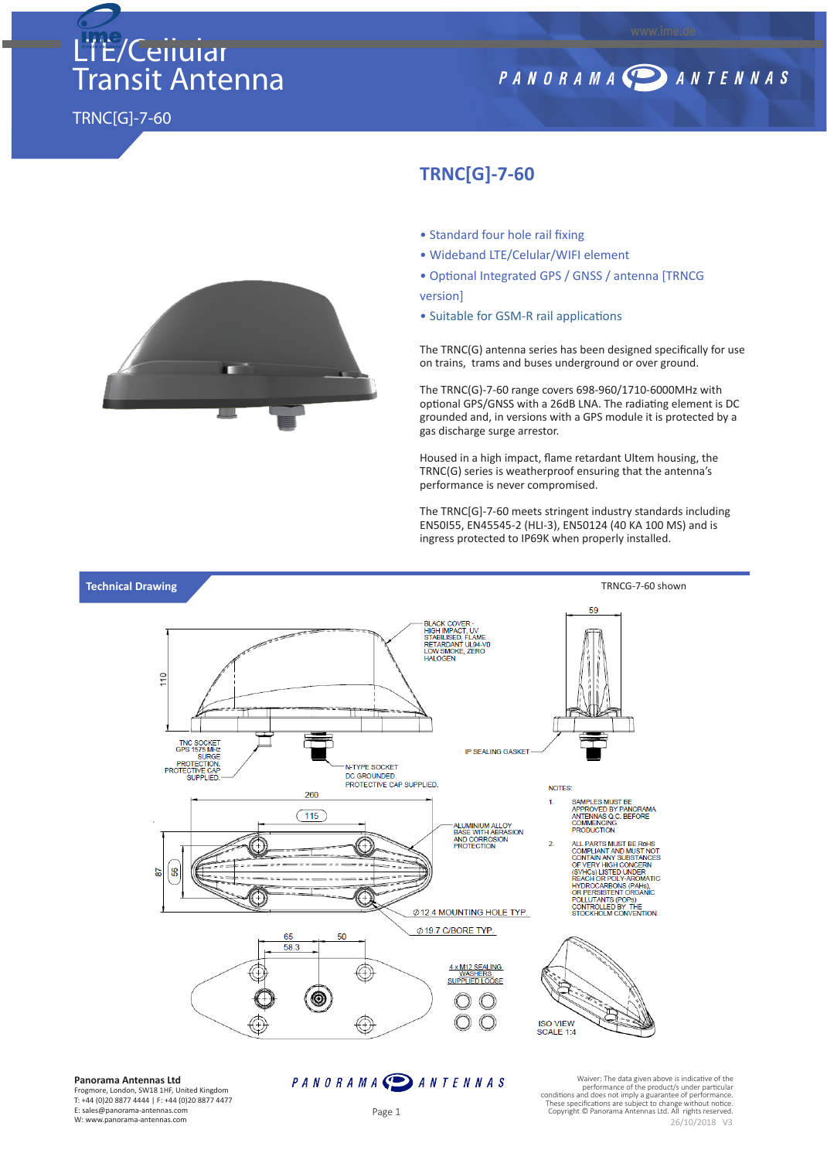# LTE/Cellular Transit Antenna

### PANORAMA DANTENNAS

TRNC[G]-7-60



#### **TRNC[G]-7-60**

- Standard four hole rail fixing
- Wideband LTE/Celular/WIFI element
- Optional Integrated GPS / GNSS / antenna [TRNCG version]
- Suitable for GSM-R rail applications

The TRNC(G) antenna series has been designed specifically for use on trains, trams and buses underground or over ground.

The TRNC(G)-7-60 range covers 698-960/1710-6000MHz with optional GPS/GNSS with a 26dB LNA. The radiating element is DC grounded and, in versions with a GPS module it is protected by a gas discharge surge arrestor.

Housed in a high impact, flame retardant Ultem housing, the TRNC(G) series is weatherproof ensuring that the antenna's performance is never compromised.

The TRNC[G]-7-60 meets stringent industry standards including EN50I55, EN45545-2 (HLI-3), EN50124 (40 KA 100 MS) and is ingress protected to IP69K when properly installed.



**Panorama Antennas Ltd**

Frogmore, London, SW18 1HF, United Kingdom T: +44 (0)20 8877 4444 | F: +44 (0)20 8877 4477 E: sales@panorama-antennas.com W: www.panorama-antennas.com

#### PANORAMA DANTENNAS

Waiver: The data given above is indicative of the performance of the product/s under particular conditions and does not imply a guarantee of performance. These specifications are subject to change without notice. Copyright © Panorama Antennas Ltd. All rights reserved. 26/10/2018 V3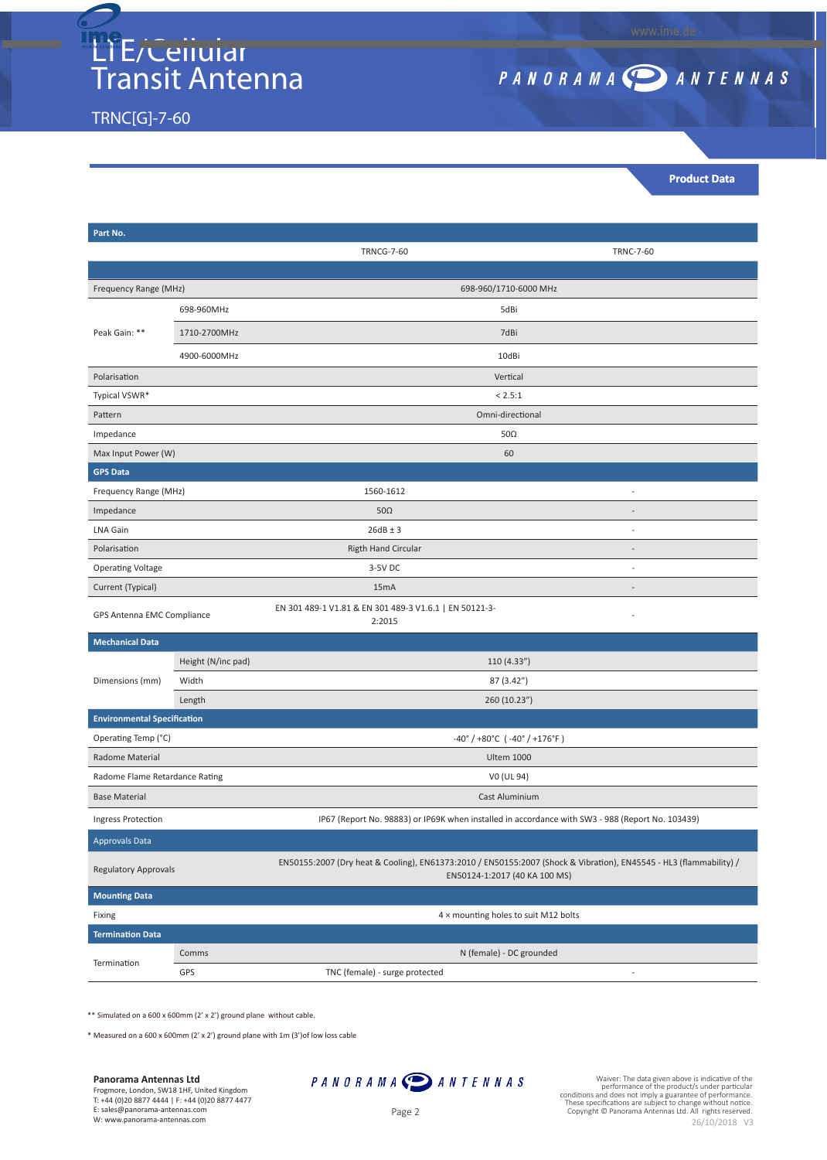## LTE/Cellular Transit Antenna

TRNC[G]-7-60

## PANORAMA SANTENNAS

**www.ime.de**

**Product Data**

| Part No.                                       |                                                                                                  |                                                                                                                                                     |                  |
|------------------------------------------------|--------------------------------------------------------------------------------------------------|-----------------------------------------------------------------------------------------------------------------------------------------------------|------------------|
|                                                |                                                                                                  | <b>TRNCG-7-60</b>                                                                                                                                   | <b>TRNC-7-60</b> |
|                                                |                                                                                                  |                                                                                                                                                     |                  |
| Frequency Range (MHz)                          |                                                                                                  | 698-960/1710-6000 MHz                                                                                                                               |                  |
| Peak Gain: **                                  | 698-960MHz                                                                                       | 5dBi                                                                                                                                                |                  |
|                                                | 1710-2700MHz                                                                                     | 7dBi                                                                                                                                                |                  |
|                                                | 4900-6000MHz                                                                                     | 10dBi                                                                                                                                               |                  |
| Polarisation                                   |                                                                                                  | Vertical                                                                                                                                            |                  |
| Typical VSWR*                                  |                                                                                                  | < 2.5:1                                                                                                                                             |                  |
| Pattern                                        |                                                                                                  | Omni-directional                                                                                                                                    |                  |
| Impedance                                      |                                                                                                  | $50\Omega$                                                                                                                                          |                  |
| Max Input Power (W)                            |                                                                                                  | 60                                                                                                                                                  |                  |
| <b>GPS Data</b>                                |                                                                                                  |                                                                                                                                                     |                  |
| Frequency Range (MHz)                          |                                                                                                  | 1560-1612                                                                                                                                           | $\overline{a}$   |
| Impedance                                      |                                                                                                  | $50\Omega$                                                                                                                                          |                  |
| <b>LNA Gain</b>                                |                                                                                                  | $26dB \pm 3$                                                                                                                                        | $\overline{a}$   |
| Polarisation                                   |                                                                                                  | <b>Rigth Hand Circular</b>                                                                                                                          |                  |
| <b>Operating Voltage</b>                       |                                                                                                  | 3-5V DC                                                                                                                                             | $\overline{a}$   |
| Current (Typical)                              |                                                                                                  | 15 <sub>m</sub> A                                                                                                                                   |                  |
| GPS Antenna EMC Compliance                     |                                                                                                  | EN 301 489-1 V1.81 & EN 301 489-3 V1.6.1   EN 50121-3-<br>2:2015                                                                                    |                  |
| <b>Mechanical Data</b>                         |                                                                                                  |                                                                                                                                                     |                  |
| Dimensions (mm)                                | Height (N/inc pad)                                                                               | 110 (4.33")                                                                                                                                         |                  |
|                                                | Width                                                                                            | 87 (3.42")                                                                                                                                          |                  |
|                                                | Length                                                                                           | 260 (10.23")                                                                                                                                        |                  |
| <b>Environmental Specification</b>             |                                                                                                  |                                                                                                                                                     |                  |
| Operating Temp (°C)                            |                                                                                                  | $-40^{\circ}$ / +80°C (-40° / +176°F)                                                                                                               |                  |
| <b>Radome Material</b>                         |                                                                                                  | <b>Ultem 1000</b>                                                                                                                                   |                  |
| Radome Flame Retardance Rating                 |                                                                                                  | V0 (UL 94)                                                                                                                                          |                  |
| <b>Base Material</b>                           |                                                                                                  | Cast Aluminium                                                                                                                                      |                  |
| Ingress Protection                             | IP67 (Report No. 98883) or IP69K when installed in accordance with SW3 - 988 (Report No. 103439) |                                                                                                                                                     |                  |
| <b>Approvals Data</b>                          |                                                                                                  |                                                                                                                                                     |                  |
| <b>Regulatory Approvals</b>                    |                                                                                                  | EN50155:2007 (Dry heat & Cooling), EN61373:2010 / EN50155:2007 (Shock & Vibration), EN45545 - HL3 (flammability) /<br>EN50124-1:2017 (40 KA 100 MS) |                  |
| <b>Mounting Data</b>                           |                                                                                                  |                                                                                                                                                     |                  |
| Fixing<br>4 x mounting holes to suit M12 bolts |                                                                                                  |                                                                                                                                                     |                  |
| <b>Termination Data</b>                        |                                                                                                  |                                                                                                                                                     |                  |
| Termination                                    | Comms                                                                                            | N (female) - DC grounded                                                                                                                            |                  |
|                                                | GPS                                                                                              | TNC (female) - surge protected<br>$\overline{a}$                                                                                                    |                  |
|                                                |                                                                                                  |                                                                                                                                                     |                  |

\*\* Simulated on a 600 x 600mm (2' x 2') ground plane without cable.

\* Measured on a 600 x 600mm (2' x 2') ground plane with 1m (3')of low loss cable

**Panorama Antennas Ltd**

Frogmore, London, SW18 1HF, United Kingdom

T: +44 (0)20 8877 4444 | F: +44 (0)20 8877 4477 E: sales@panorama-antennas.com

W: www.panorama-antennas.com



Waiver: The data given above is indicative of the<br>conditions and does not the product/s under particular<br>conditions and does not imply a guarantee of performance.<br>These specifications are subject to change without notice.<br> 26/10/2018 V3